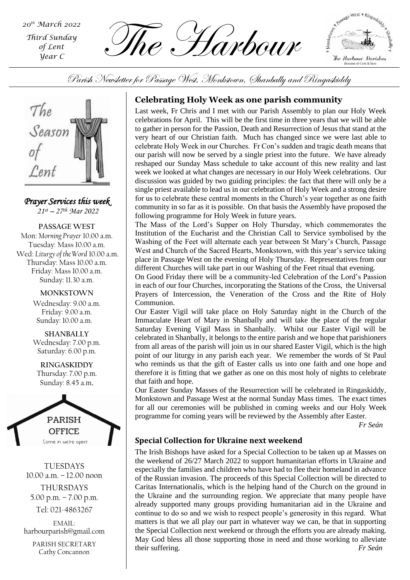*Third Sunday of Lent Year C*

 $\widetilde{M}_{\text{first Sunday}}$   $\widetilde{M}_{\text{ref. Lent}}$   $\widetilde{M}_{\text{ref. Lent}}$   $\widetilde{M}_{\text{ref. Lent}}$   $\widetilde{M}_{\text{ref. Lent}}$   $\widetilde{M}_{\text{ref. Lent}}$ 

A Passage West + Ringaslidd The Harbour Darishes Diocese of Cork & Ross

Parish Newsletter for Passage West, Monkstown, Shanbally and Ringaskiddy



*Prayer Services this week 21st – 27 th Mar 2022*

**PASSAGE WEST** Mon: *Morning Prayer* 10.00 a.m. Tuesday: Mass 10.00 a.m. Wed: *Liturgy of the Word* 10.00 a.m. Thursday: Mass 10.00 a.m. Friday: Mass 10.00 a.m. Sunday: 11.30 a.m.

> **MONKSTOWN** Wednesday: 9.00 a.m. Friday: 9.00 a.m. Sunday: 10.00 a.m.

> **SHANBALLY** Wednesday: 7.00 p.m. Saturday: 6.00 p.m.

**RINGASKIDDY** Thursday: 7.00 p.m. Sunday: 8.45 a.m.



TUESDAYS 10.00 a.m. – 12.00 noon THURSDAYS

5.00 p.m. – 7.00 p.m. Tel: 021-4863267

EMAIL: harbourparish@gmail.com

PARISH SECRETARY Cathy Concannon

# **Celebrating Holy Week as one parish community**

Last week, Fr Chris and I met with our Parish Assembly to plan our Holy Week celebrations for April. This will be the first time in three years that we will be able to gather in person for the Passion, Death and Resurrection of Jesus that stand at the very heart of our Christian faith. Much has changed since we were last able to celebrate Holy Week in our Churches. Fr Con's sudden and tragic death means that our parish will now be served by a single priest into the future. We have already reshaped our Sunday Mass schedule to take account of this new reality and last week we looked at what changes are necessary in our Holy Week celebrations. Our discussion was guided by two guiding principles: the fact that there will only be a single priest available to lead us in our celebration of Holy Week and a strong desire for us to celebrate these central moments in the Church's year together as one faith community in so far as it is possible. On that basis the Assembly have proposed the following programme for Holy Week in future years.

The Mass of the Lord's Supper on Holy Thursday, which commemorates the Institution of the Eucharist and the Christian Call to Service symbolised by the Washing of the Feet will alternate each year between St Mary's Church, Passage West and Church of the Sacred Hearts, Monkstown, with this year's service taking place in Passage West on the evening of Holy Thursday. Representatives from our different Churches will take part in our Washing of the Feet ritual that evening.

On Good Friday there will be a community-led Celebration of the Lord's Passion in each of our four Churches, incorporating the Stations of the Cross, the Universal Prayers of Intercession, the Veneration of the Cross and the Rite of Holy Communion.

from all areas of the parish will join us in our shared Easter Vigil, which is the high Our Easter Vigil will take place on Holy Saturday night in the Church of the Immaculate Heart of Mary in Shanbally and will take the place of the regular Saturday Evening Vigil Mass in Shanbally. Whilst our Easter Vigil will be celebrated in Shanbally, it belongs to the entire parish and we hope that parishioners point of our liturgy in any parish each year. We remember the words of St Paul who reminds us that the gift of Easter calls us into one faith and one hope and therefore it is fitting that we gather as one on this most holy of nights to celebrate that faith and hope.

Our Easter Sunday Masses of the Resurrection will be celebrated in Ringaskiddy, Monkstown and Passage West at the normal Sunday Mass times. The exact times for all our ceremonies will be published in coming weeks and our Holy Week programme for coming years will be reviewed by the Assembly after Easter.

*Fr Seán*

# **Special Collection for Ukraine next weekend**

The Irish Bishops have asked for a Special Collection to be taken up at Masses on the weekend of 26/27 March 2022 to support humanitarian efforts in Ukraine and especially the families and children who have had to flee their homeland in advance of the Russian invasion. The proceeds of this Special Collection will be directed to Caritas Internationalis, which is the helping hand of the Church on the ground in the Ukraine and the surrounding region. We appreciate that many people have already supported many groups providing humanitarian aid in the Ukraine and continue to do so and we wish to respect people's generosity in this regard. What matters is that we all play our part in whatever way we can, be that in supporting the Special Collection next weekend or through the efforts you are already making. May God bless all those supporting those in need and those working to alleviate their suffering. *Fr Seán*